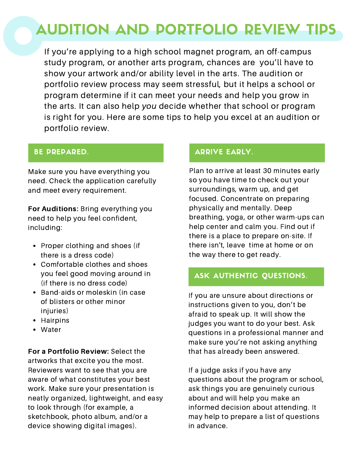# AUDITION AND PORTFOLIO REVIEW TIPS

If you're applying to a high school magnet program, an off-campus study program, or another arts program, chances are you'll have to show your artwork and/or ability level in the arts. The audition or portfolio review process may seem stressful, but it helps a school or program determine if it can meet your needs and help you grow in the arts. It can also help you decide whether that school or program is right for you. Here are some tips to help you excel at an audition or portfolio review.

### BE PREPARED.

Make sure you have everything you need. Check the application carefully and meet every requirement.

For Auditions: Bring everything you need to help you feel confident, including:

- Proper clothing and shoes (if there is a dress code)
- Comfortable clothes and shoes you feel good moving around in (if there is no dress code)
- Band-aids or moleskin (in case of blisters or other minor injuries)
- Hairpins
- Water

For a Portfolio Review: Select the artworks that excite you the most. Reviewers want to see that you are aware of what constitutes your best work. Make sure your presentation is neatly organized, lightweight, and easy to look through (for example, a sketchbook, photo album, and/or a device showing digital images).

#### ARRIVE EARLY.

Plan to arrive at least 30 minutes early so you have time to check out your surroundings, warm up, and get focused. Concentrate on preparing physically and mentally. Deep breathing, yoga, or other warm-ups can help center and calm you. Find out if there is a place to prepare on-site. If there isn't, leave time at home or on the way there to get ready.

ARRIVE EARLY.

### ASK AUTHENTIC QUESTIONS.

If you are unsure about directions or instructions given to you, don't be afraid to speak up. It will show the judges you want to do your best. Ask questions in a professional manner and make sure you're not asking anything that has already been answered.

If a judge asks if you have any questions about the program or school, ask things you are genuinely curious about and will help you make an informed decision about attending. It may help to prepare a list of questions in advance.